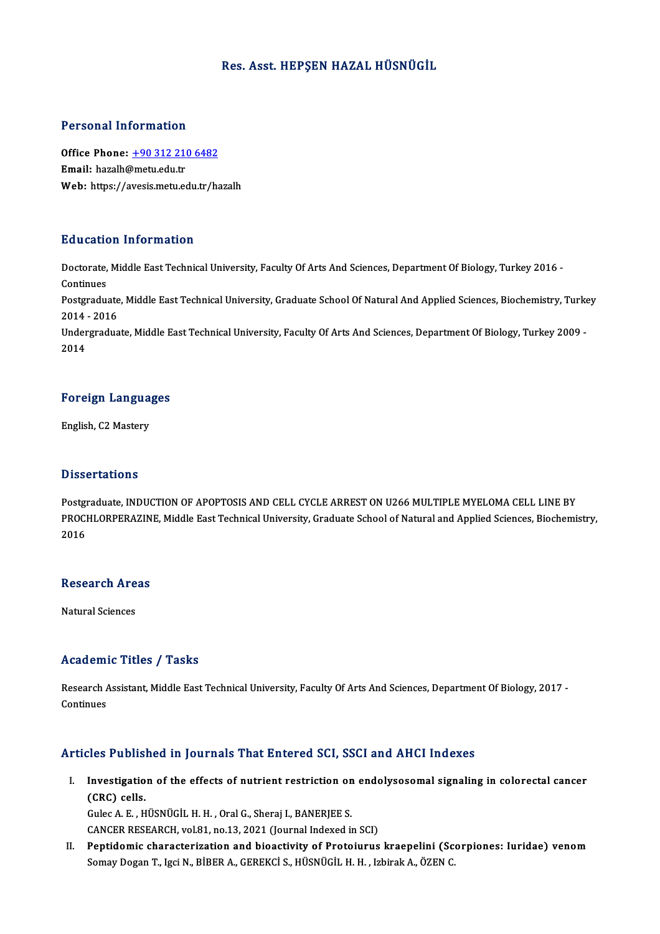## Res. Asst. HEPŞEN HAZAL HÜSNÜGİL

### Personal Information

Personal Information<br>Office Phone: <u>+90 312 210 6482</u><br>Email: baralb@matuedutr office Phone: <u>+90 312 210</u><br>Email: hazalh@metu.edu.tr<br>Web: https://ayosis.metu.co Email: hazalh@metu.edu.tr<br>Web: https://a[vesis.metu.edu.tr/h](tel:+90 312 210 6482)azalh

### Education Information

**Education Information**<br>Doctorate, Middle East Technical University, Faculty Of Arts And Sciences, Department Of Biology, Turkey 2016 -<br>Continues Doctorate,<br>Continues<br>Postaredus Doctorate, Middle East Technical University, Faculty Of Arts And Sciences, Department Of Biology, Turkey 2016 -<br>Continues<br>Postgraduate, Middle East Technical University, Graduate School Of Natural And Applied Sciences, Bio

Continues<br>Postgraduate<br>2014 - 2016<br>Undergradue Postgraduate, Middle East Technical University, Graduate School Of Natural And Applied Sciences, Biochemistry, Turke<br>2014 - 2016<br>Undergraduate, Middle East Technical University, Faculty Of Arts And Sciences, Department Of

2014 - 2016<br>Undergraduate, Middle East Technical University, Faculty Of Arts And Sciences, Department Of Biology, Turkey 2009 -<br>2014

## <sub>2014</sub><br>Foreign Languages F<mark>oreign Langua</mark><br>English, C2 Mastery

English, C2 Mastery<br>Dissertations

Dissertations<br>Postgraduate, INDUCTION OF APOPTOSIS AND CELL CYCLE ARREST ON U266 MULTIPLE MYELOMA CELL LINE BY<br>PROCHLOPPERAZINE Middle Fest Technicel University Creduate School of Natural and Annlied Sciences, Biochemi D'ISSOI CALISTIS<br>Postgraduate, INDUCTION OF APOPTOSIS AND CELL CYCLE ARREST ON U266 MULTIPLE MYELOMA CELL LINE BY<br>PROCHLORPERAZINE, Middle East Technical University, Graduate School of Natural and Applied Sciences, Biochem Postgi<br>PROCI<br>2016

## <sub>2016</sub><br>Research Areas <mark>Research Are</mark><br>Natural Sciences

# Natural Sciences<br>Academic Titles / Tasks

Academic Titles / Tasks<br>Research Assistant, Middle East Technical University, Faculty Of Arts And Sciences, Department Of Biology, 2017 -<br>Continues Research A<br>Continues

# Articles Published in Journals That Entered SCI, SSCI and AHCI Indexes

rticles Published in Journals That Entered SCI, SSCI and AHCI Indexes<br>I. Investigation of the effects of nutrient restriction on endolysosomal signaling in colorectal cancer<br>(CBC) sells (CRC) cells.<br>Gulec A. E. , HÜSNÜGİL H. H. , Oral G., Sheraj I., BANERJEE S. Investigation of the effects of nutrient restriction on<br>(CRC) cells.<br>Gulec A.E., HÜSNÜGİL H.H., Oral G., Sheraj I., BANERJEE S.<br>CANGER RESEARCH VRL91, Po 12, 2021 (Journal Indoved in

CANCER RESEARCH, vol.81, no.13, 2021 (Journal Indexed in SCI)

II. Peptidomic characterization and bioactivity of Protoiurus kraepelini (Scorpiones: Iuridae) venom Somay Dogan T., Igci N., BİBER A., GEREKCİ S., HÜSNÜGİL H. H., Izbirak A., ÖZEN C.